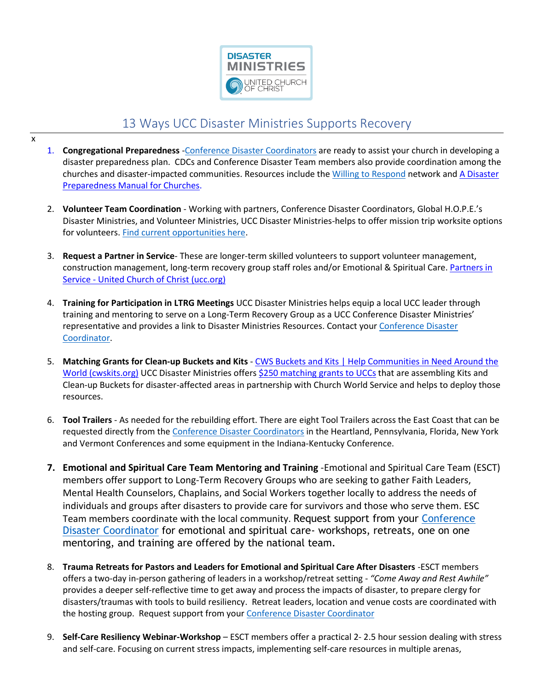

## 13 Ways UCC Disaster Ministries Supports Recovery

x

- 1. **Congregational Preparedness** [-Conference Disaster Coordinators](https://www.ucc.org/what-we-do/wider-church-ministries/global-hope/disaster/disaster_conference_disaster_coordinators/) are ready to assist your church in developing a disaster preparedness plan.CDCs and Conference Disaster Team members also provide coordination among the churches and disaster-impacted communities. Resources include the [Willing to Respond](https://www.ucc.org/willing-to-respond-in-disaster/) network and [A Disaster](https://www.uccfiles.com/pdf/A-Disaster-Preparedness-Manual-for-Churches.pdf)  [Preparedness Manual for Churches.](https://www.uccfiles.com/pdf/A-Disaster-Preparedness-Manual-for-Churches.pdf)
- 2. **Volunteer Team Coordination** Working with partners, Conference Disaster Coordinators, Global H.O.P.E.'s Disaster Ministries, and Volunteer Ministries, UCC Disaster Ministries-helps to offer mission trip worksite options for volunteers[. Find current opportunities here.](https://www.ucc.org/opportunities-to-volunteer-in-disaster-recovery/)
- 3. **Request a Partner in Service** These are longer-term skilled volunteers to support volunteer management, construction management, long-term recovery group staff roles and/or Emotional & Spiritual Care. Partners in Service - [United Church of Christ \(ucc.org\)](https://www.ucc.org/what-we-do/wider-church-ministries/global-hope/volunteer-ministries/partners-in-service/)
- 4. **Training for Participation in LTRG Meetings** UCC Disaster Ministries helps equip a local UCC leader through training and mentoring to serve on a Long-Term Recovery Group as a UCC Conference Disaster Ministries' representative and provides a link to Disaster Ministries Resources. Contact your [Conference Disaster](https://www.ucc.org/what-we-do/wider-church-ministries/global-hope/disaster/disaster_conference_disaster_coordinators/)  [Coordinator.](https://www.ucc.org/what-we-do/wider-church-ministries/global-hope/disaster/disaster_conference_disaster_coordinators/)
- 5. **Matching Grants for Clean-up Buckets and Kits** [CWS Buckets and Kits | Help Communities in Need Around the](https://cwskits.org/)  [World \(cwskits.org\)](https://cwskits.org/) UCC Disaster Ministries offer[s \\$250 matching grants to UCCs](https://app.smarterselect.com/programs/64870-United-Church-Of-Christ) that are assembling Kits and Clean-up Buckets for disaster-affected areas in partnership with Church World Service and helps to deploy those resources.
- 6. **Tool Trailers** As needed for the rebuilding effort. There are eight Tool Trailers across the East Coast that can be requested directly from th[e Conference Disaster Coordinators](https://www.ucc.org/what-we-do/wider-church-ministries/global-hope/disaster/disaster_conference_disaster_coordinators/) in the Heartland, Pennsylvania, Florida, New York and Vermont Conferences and some equipment in the Indiana-Kentucky Conference.
- **7. Emotional and Spiritual Care Team Mentoring and Training** -Emotional and Spiritual Care Team (ESCT) members offer support to Long-Term Recovery Groups who are seeking to gather Faith Leaders, Mental Health Counselors, Chaplains, and Social Workers together locally to address the needs of individuals and groups after disasters to provide care for survivors and those who serve them. ESC Team members coordinate with the local community. Request support from your [Conference](https://www.ucc.org/what-we-do/wider-church-ministries/global-hope/disaster/disaster_conference_disaster_coordinators/) [Disaster Coordinator](https://www.ucc.org/what-we-do/wider-church-ministries/global-hope/disaster/disaster_conference_disaster_coordinators/) for emotional and spiritual care- workshops, retreats, one on one mentoring, and training are offered by the national team.
- 8. **Trauma Retreats for Pastors and Leaders for Emotional and Spiritual Care After Disasters** -ESCT members offers a two-day in-person gathering of leaders in a workshop/retreat setting - *"Come Away and Rest Awhile"* provides a deeper self-reflective time to get away and process the impacts of disaster, to prepare clergy for disasters/traumas with tools to build resiliency.  Retreat leaders, location and venue costs are coordinated with the hosting group. Request support from your Conference [Disaster Coordinator](https://www.ucc.org/what-we-do/wider-church-ministries/global-hope/disaster/disaster_conference_disaster_coordinators/)
- 9. **Self-Care Resiliency Webinar-Workshop** ESCT members offer a practical 2- 2.5 hour session dealing with stress and self-care. Focusing on current stress impacts, implementing self-care resources in multiple arenas,